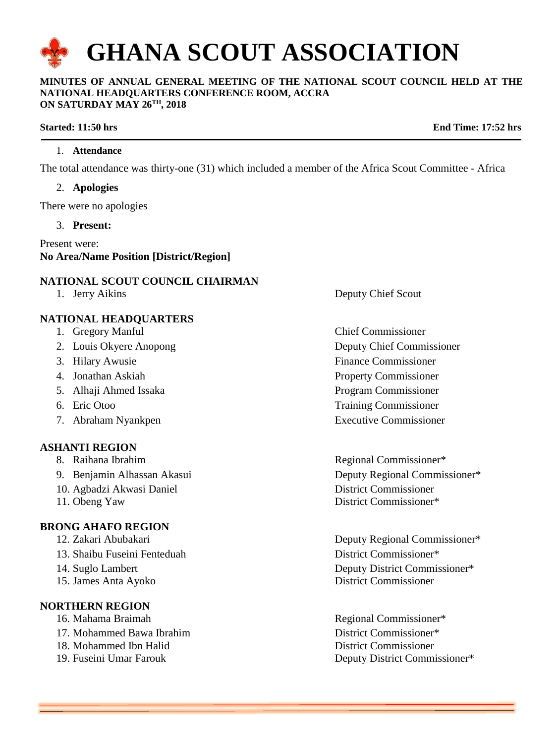

#### **MINUTES OF ANNUAL GENERAL MEETING OF THE NATIONAL SCOUT COUNCIL HELD AT THE NATIONAL HEADQUARTERS CONFERENCE ROOM, ACCRA ON SATURDAY MAY 26TH, 2018**

**Started: 11:50** hrs **End Time: 17:52** hrs **End Time: 17:52** hrs **End Time: 17:52** hrs

#### 1. **Attendance**

The total attendance was thirty-one (31) which included a member of the Africa Scout Committee - Africa

#### 2. **Apologies**

There were no apologies

#### 3. **Present:**

Present were: **No Area/Name Position [District/Region]** 

#### **NATIONAL SCOUT COUNCIL CHAIRMAN**

## **NATIONAL HEADQUARTERS**

- 1. Gregory Manful Chief Commissioner
- 
- 
- 
- 5. Alhaji Ahmed Issaka Program Commissioner
- 
- 

#### **ASHANTI REGION**

- 
- 
- 10. Agbadzi Akwasi Daniel District Commissioner
- 

#### **BRONG AHAFO REGION**

- 
- 13. Shaibu Fuseini Fenteduah District Commissioner\*
- 
- 

#### **NORTHERN REGION**

- 
- 17. Mohammed Bawa Ibrahim **District Commissioner**\*
- 18. Mohammed Ibn Halid District Commissioner
- 

1. Jerry Aikins **Deputy Chief Scout** 

2. Louis Okyere Anopong Deputy Chief Commissioner 3. Hilary Awusie **Finance Commissioner** Finance Commissioner 4. Jonathan Askiah Property Commissioner 6. Eric Otoo Training Commissioner 7. Abraham Nyankpen Executive Commissioner

8. Raihana Ibrahim Regional Commissioner\* 9. Benjamin Alhassan Akasui Deputy Regional Commissioner\* 11. Obeng Yaw District Commissioner\*

12. Zakari Abubakari Deputy Regional Commissioner\* 14. Suglo Lambert Deputy District Commissioner\* 15. James Anta Ayoko District Commissioner

16. Mahama Braimah **Regional Commissioner\*** Regional Commissioner\* 19. Fuseini Umar Farouk Deputy District Commissioner\*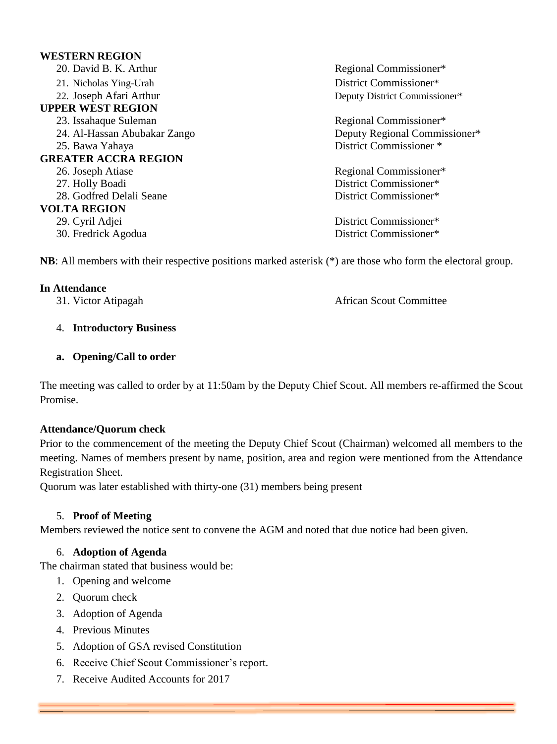| <b>WESTERN REGION</b>        |                               |
|------------------------------|-------------------------------|
| 20. David B. K. Arthur       | Regional Commissioner*        |
| 21. Nicholas Ying-Urah       | District Commissioner*        |
| 22. Joseph Afari Arthur      | Deputy District Commissioner* |
| <b>UPPER WEST REGION</b>     |                               |
| 23. Issahaque Suleman        | Regional Commissioner*        |
| 24. Al-Hassan Abubakar Zango | Deputy Regional Commissioner* |
| 25. Bawa Yahaya              | District Commissioner*        |
| <b>GREATER ACCRA REGION</b>  |                               |
| 26. Joseph Atiase            | Regional Commissioner*        |
| 27. Holly Boadi              | District Commissioner*        |
| 28. Godfred Delali Seane     | District Commissioner*        |
| <b>VOLTA REGION</b>          |                               |
| 29. Cyril Adjei              | District Commissioner*        |
| 30. Fredrick Agodua          | District Commissioner*        |
|                              |                               |

**NB**: All members with their respective positions marked asterisk (\*) are those who form the electoral group.

## **In Attendance**

31. Victor Atipagah **African** Scout Committee

4. **Introductory Business** 

#### **a. Opening/Call to order**

The meeting was called to order by at 11:50am by the Deputy Chief Scout. All members re-affirmed the Scout Promise.

## **Attendance/Quorum check**

Prior to the commencement of the meeting the Deputy Chief Scout (Chairman) welcomed all members to the meeting. Names of members present by name, position, area and region were mentioned from the Attendance Registration Sheet.

Quorum was later established with thirty-one (31) members being present

## 5. **Proof of Meeting**

Members reviewed the notice sent to convene the AGM and noted that due notice had been given.

## 6. **Adoption of Agenda**

The chairman stated that business would be:

- 1. Opening and welcome
- 2. Quorum check
- 3. Adoption of Agenda
- 4. Previous Minutes
- 5. Adoption of GSA revised Constitution
- 6. Receive Chief Scout Commissioner's report.
- 7. Receive Audited Accounts for 2017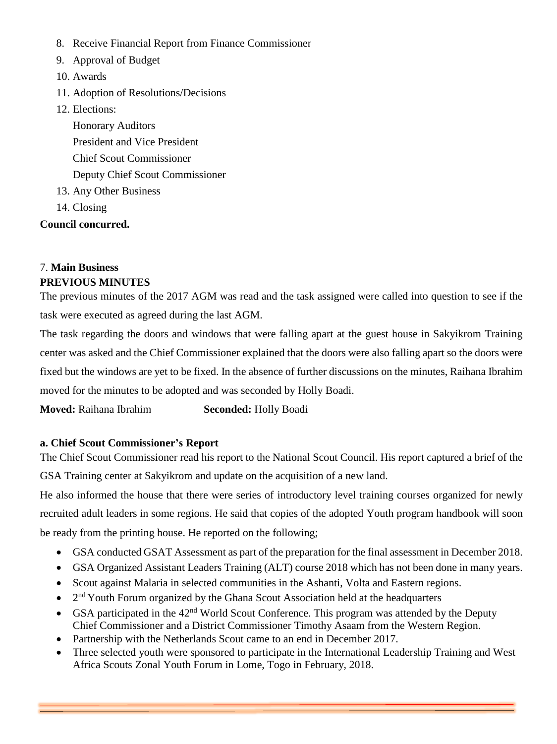- 8. Receive Financial Report from Finance Commissioner
- 9. Approval of Budget
- 10. Awards
- 11. Adoption of Resolutions/Decisions
- 12. Elections:
- Honorary Auditors President and Vice President Chief Scout Commissioner Deputy Chief Scout Commissioner 13. Any Other Business
- 14. Closing

**Council concurred.**

## 7. **Main Business PREVIOUS MINUTES**

The previous minutes of the 2017 AGM was read and the task assigned were called into question to see if the task were executed as agreed during the last AGM.

The task regarding the doors and windows that were falling apart at the guest house in Sakyikrom Training center was asked and the Chief Commissioner explained that the doors were also falling apart so the doors were fixed but the windows are yet to be fixed. In the absence of further discussions on the minutes, Raihana Ibrahim moved for the minutes to be adopted and was seconded by Holly Boadi.

**Moved:** Raihana Ibrahim **Seconded:** Holly Boadi

## **a. Chief Scout Commissioner's Report**

The Chief Scout Commissioner read his report to the National Scout Council. His report captured a brief of the GSA Training center at Sakyikrom and update on the acquisition of a new land.

He also informed the house that there were series of introductory level training courses organized for newly recruited adult leaders in some regions. He said that copies of the adopted Youth program handbook will soon be ready from the printing house. He reported on the following;

- GSA conducted GSAT Assessment as part of the preparation for the final assessment in December 2018.
- GSA Organized Assistant Leaders Training (ALT) course 2018 which has not been done in many years.
- Scout against Malaria in selected communities in the Ashanti, Volta and Eastern regions.
- $2<sup>nd</sup>$  Youth Forum organized by the Ghana Scout Association held at the headquarters
- GSA participated in the  $42<sup>nd</sup>$  World Scout Conference. This program was attended by the Deputy Chief Commissioner and a District Commissioner Timothy Asaam from the Western Region.
- Partnership with the Netherlands Scout came to an end in December 2017.
- Three selected youth were sponsored to participate in the International Leadership Training and West Africa Scouts Zonal Youth Forum in Lome, Togo in February, 2018.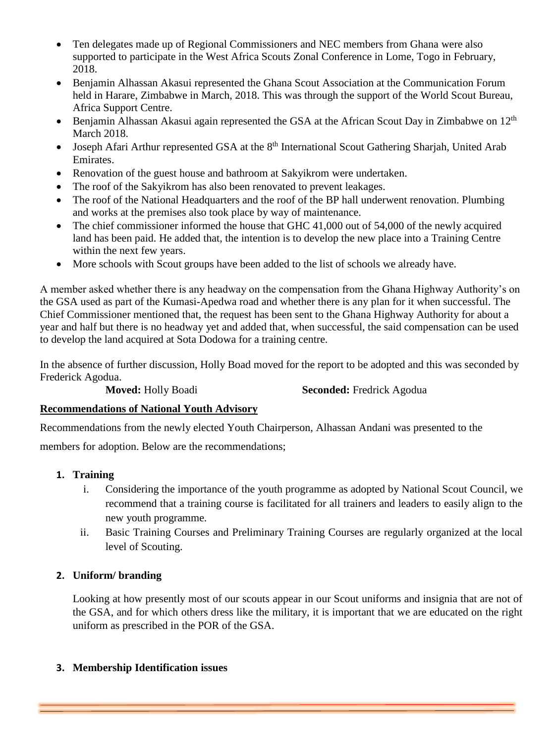- Ten delegates made up of Regional Commissioners and NEC members from Ghana were also supported to participate in the West Africa Scouts Zonal Conference in Lome, Togo in February, 2018.
- Benjamin Alhassan Akasui represented the Ghana Scout Association at the Communication Forum held in Harare, Zimbabwe in March, 2018. This was through the support of the World Scout Bureau, Africa Support Centre.
- Benjamin Alhassan Akasui again represented the GSA at the African Scout Day in Zimbabwe on  $12<sup>th</sup>$ March 2018.
- Joseph Afari Arthur represented GSA at the 8<sup>th</sup> International Scout Gathering Sharjah, United Arab Emirates.
- Renovation of the guest house and bathroom at Sakyikrom were undertaken.
- The roof of the Sakyikrom has also been renovated to prevent leakages.
- The roof of the National Headquarters and the roof of the BP hall underwent renovation. Plumbing and works at the premises also took place by way of maintenance.
- The chief commissioner informed the house that GHC 41,000 out of 54,000 of the newly acquired land has been paid. He added that, the intention is to develop the new place into a Training Centre within the next few years.
- More schools with Scout groups have been added to the list of schools we already have.

A member asked whether there is any headway on the compensation from the Ghana Highway Authority's on the GSA used as part of the Kumasi-Apedwa road and whether there is any plan for it when successful. The Chief Commissioner mentioned that, the request has been sent to the Ghana Highway Authority for about a year and half but there is no headway yet and added that, when successful, the said compensation can be used to develop the land acquired at Sota Dodowa for a training centre.

In the absence of further discussion, Holly Boad moved for the report to be adopted and this was seconded by Frederick Agodua.

**Moved:** Holly Boadi **Seconded:** Fredrick Agodua

## **Recommendations of National Youth Advisory**

Recommendations from the newly elected Youth Chairperson, Alhassan Andani was presented to the

members for adoption. Below are the recommendations;

## **1. Training**

- i. Considering the importance of the youth programme as adopted by National Scout Council, we recommend that a training course is facilitated for all trainers and leaders to easily align to the new youth programme.
- ii. Basic Training Courses and Preliminary Training Courses are regularly organized at the local level of Scouting.

## **2. Uniform/ branding**

Looking at how presently most of our scouts appear in our Scout uniforms and insignia that are not of the GSA, and for which others dress like the military, it is important that we are educated on the right uniform as prescribed in the POR of the GSA.

## **3. Membership Identification issues**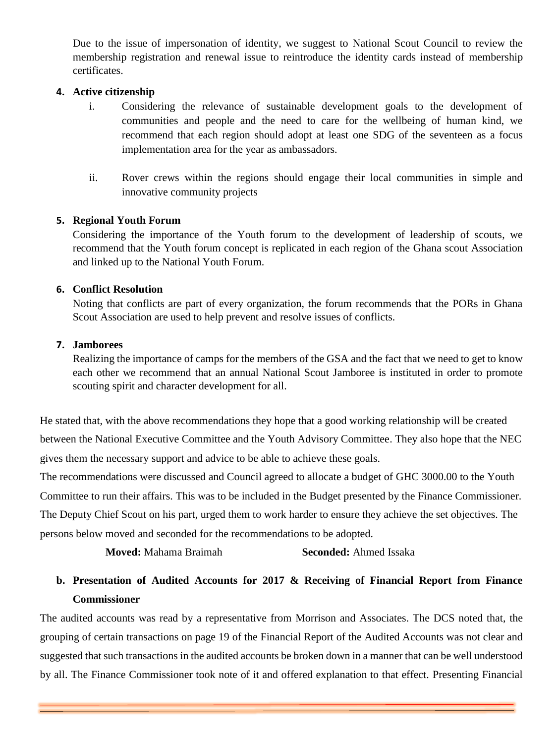Due to the issue of impersonation of identity, we suggest to National Scout Council to review the membership registration and renewal issue to reintroduce the identity cards instead of membership certificates.

#### **4. Active citizenship**

- i. Considering the relevance of sustainable development goals to the development of communities and people and the need to care for the wellbeing of human kind, we recommend that each region should adopt at least one SDG of the seventeen as a focus implementation area for the year as ambassadors.
- ii. Rover crews within the regions should engage their local communities in simple and innovative community projects

#### **5. Regional Youth Forum**

Considering the importance of the Youth forum to the development of leadership of scouts, we recommend that the Youth forum concept is replicated in each region of the Ghana scout Association and linked up to the National Youth Forum.

#### **6. Conflict Resolution**

Noting that conflicts are part of every organization, the forum recommends that the PORs in Ghana Scout Association are used to help prevent and resolve issues of conflicts.

#### **7. Jamborees**

Realizing the importance of camps for the members of the GSA and the fact that we need to get to know each other we recommend that an annual National Scout Jamboree is instituted in order to promote scouting spirit and character development for all.

He stated that, with the above recommendations they hope that a good working relationship will be created between the National Executive Committee and the Youth Advisory Committee. They also hope that the NEC gives them the necessary support and advice to be able to achieve these goals.

The recommendations were discussed and Council agreed to allocate a budget of GHC 3000.00 to the Youth Committee to run their affairs. This was to be included in the Budget presented by the Finance Commissioner. The Deputy Chief Scout on his part, urged them to work harder to ensure they achieve the set objectives. The persons below moved and seconded for the recommendations to be adopted.

## **Moved:** Mahama Braimah **Seconded:** Ahmed Issaka

# **b. Presentation of Audited Accounts for 2017 & Receiving of Financial Report from Finance Commissioner**

The audited accounts was read by a representative from Morrison and Associates. The DCS noted that, the grouping of certain transactions on page 19 of the Financial Report of the Audited Accounts was not clear and suggested that such transactions in the audited accounts be broken down in a manner that can be well understood by all. The Finance Commissioner took note of it and offered explanation to that effect. Presenting Financial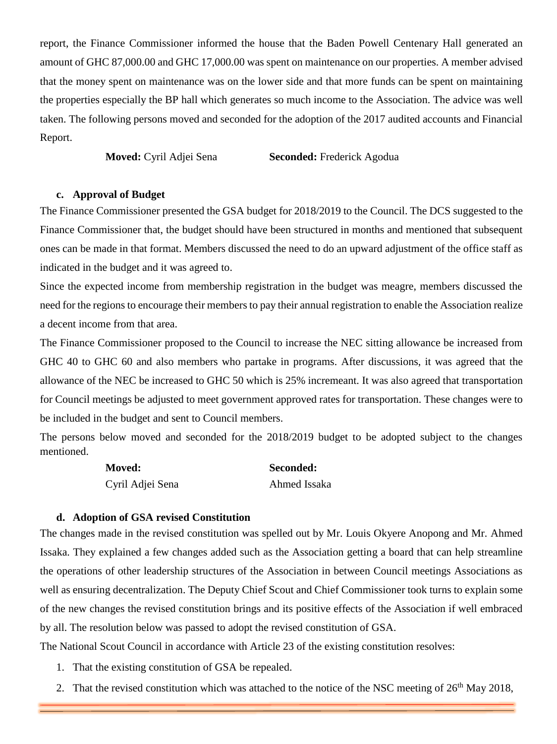report, the Finance Commissioner informed the house that the Baden Powell Centenary Hall generated an amount of GHC 87,000.00 and GHC 17,000.00 was spent on maintenance on our properties. A member advised that the money spent on maintenance was on the lower side and that more funds can be spent on maintaining the properties especially the BP hall which generates so much income to the Association. The advice was well taken. The following persons moved and seconded for the adoption of the 2017 audited accounts and Financial Report.

**Moved:** Cyril Adjei Sena **Seconded:** Frederick Agodua

#### **c. Approval of Budget**

The Finance Commissioner presented the GSA budget for 2018/2019 to the Council. The DCS suggested to the Finance Commissioner that, the budget should have been structured in months and mentioned that subsequent ones can be made in that format. Members discussed the need to do an upward adjustment of the office staff as indicated in the budget and it was agreed to.

Since the expected income from membership registration in the budget was meagre, members discussed the need for the regions to encourage their members to pay their annual registration to enable the Association realize a decent income from that area.

The Finance Commissioner proposed to the Council to increase the NEC sitting allowance be increased from GHC 40 to GHC 60 and also members who partake in programs. After discussions, it was agreed that the allowance of the NEC be increased to GHC 50 which is 25% incremeant. It was also agreed that transportation for Council meetings be adjusted to meet government approved rates for transportation. These changes were to be included in the budget and sent to Council members.

The persons below moved and seconded for the 2018/2019 budget to be adopted subject to the changes mentioned.

| <b>Moved:</b>    | Seconded:    |
|------------------|--------------|
| Cyril Adjei Sena | Ahmed Issaka |

#### **d. Adoption of GSA revised Constitution**

The changes made in the revised constitution was spelled out by Mr. Louis Okyere Anopong and Mr. Ahmed Issaka. They explained a few changes added such as the Association getting a board that can help streamline the operations of other leadership structures of the Association in between Council meetings Associations as well as ensuring decentralization. The Deputy Chief Scout and Chief Commissioner took turns to explain some of the new changes the revised constitution brings and its positive effects of the Association if well embraced by all. The resolution below was passed to adopt the revised constitution of GSA.

The National Scout Council in accordance with Article 23 of the existing constitution resolves:

- 1. That the existing constitution of GSA be repealed.
- 2. That the revised constitution which was attached to the notice of the NSC meeting of  $26<sup>th</sup>$  May 2018,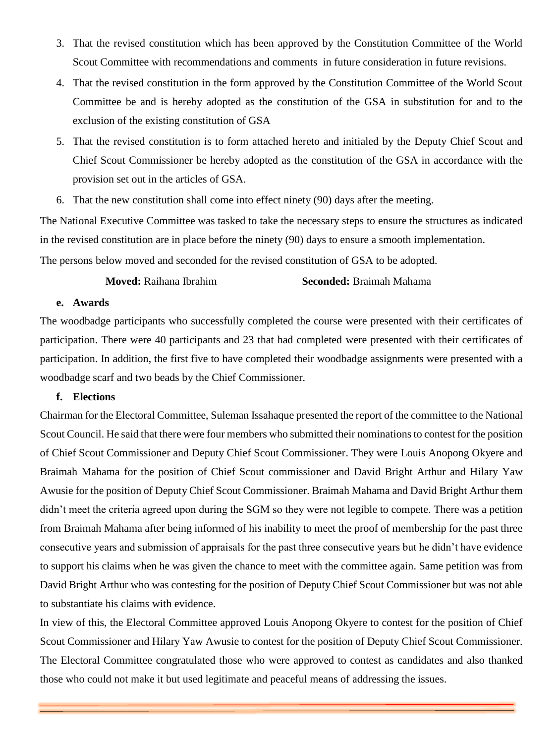- 3. That the revised constitution which has been approved by the Constitution Committee of the World Scout Committee with recommendations and comments in future consideration in future revisions.
- 4. That the revised constitution in the form approved by the Constitution Committee of the World Scout Committee be and is hereby adopted as the constitution of the GSA in substitution for and to the exclusion of the existing constitution of GSA
- 5. That the revised constitution is to form attached hereto and initialed by the Deputy Chief Scout and Chief Scout Commissioner be hereby adopted as the constitution of the GSA in accordance with the provision set out in the articles of GSA.
- 6. That the new constitution shall come into effect ninety (90) days after the meeting.

The National Executive Committee was tasked to take the necessary steps to ensure the structures as indicated in the revised constitution are in place before the ninety (90) days to ensure a smooth implementation. The persons below moved and seconded for the revised constitution of GSA to be adopted.

#### **Moved:** Raihana Ibrahim **Seconded:** Braimah Mahama

#### **e. Awards**

The woodbadge participants who successfully completed the course were presented with their certificates of participation. There were 40 participants and 23 that had completed were presented with their certificates of participation. In addition, the first five to have completed their woodbadge assignments were presented with a woodbadge scarf and two beads by the Chief Commissioner.

#### **f. Elections**

Chairman for the Electoral Committee, Suleman Issahaque presented the report of the committee to the National Scout Council. He said that there were four members who submitted their nominations to contest for the position of Chief Scout Commissioner and Deputy Chief Scout Commissioner. They were Louis Anopong Okyere and Braimah Mahama for the position of Chief Scout commissioner and David Bright Arthur and Hilary Yaw Awusie for the position of Deputy Chief Scout Commissioner. Braimah Mahama and David Bright Arthur them didn't meet the criteria agreed upon during the SGM so they were not legible to compete. There was a petition from Braimah Mahama after being informed of his inability to meet the proof of membership for the past three consecutive years and submission of appraisals for the past three consecutive years but he didn't have evidence to support his claims when he was given the chance to meet with the committee again. Same petition was from David Bright Arthur who was contesting for the position of Deputy Chief Scout Commissioner but was not able to substantiate his claims with evidence.

In view of this, the Electoral Committee approved Louis Anopong Okyere to contest for the position of Chief Scout Commissioner and Hilary Yaw Awusie to contest for the position of Deputy Chief Scout Commissioner. The Electoral Committee congratulated those who were approved to contest as candidates and also thanked those who could not make it but used legitimate and peaceful means of addressing the issues.